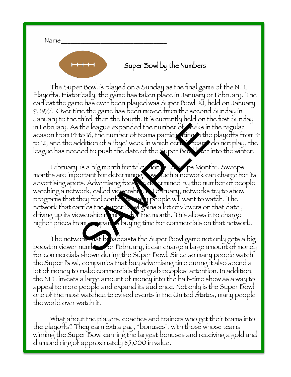Name\_\_\_\_\_\_\_\_\_\_\_\_\_\_\_\_\_\_\_\_\_\_\_\_\_\_\_\_\_\_\_\_ 

 $+ + +$ 

### Super Bowl by the Numbers

The Super Bowl is played on a Sunday as the final game of the NFL Playoffs. Historically, the game has taken place in January or February. The earliest the game has ever been played was Super Bowl XI, held on January 9, 1977. Over time the game has been moved from the second Sunday in January to the third, then the fourth. It is currently held on the first Sunday in February. As the league expanded the number of weeks in the regular season from 14 to 16, the number of teams participating in the playoffs from 4 to 12, and the addition of a 'bye' week in which certain teams do not play, the league has needed to push the date of the Super Bowl ker into the winter.

February is a big month for television, a "Sweeps Month". Sweeps months are important for determining how much a network can charge for its advertising spots. Advertising fees  $\cdot$  and ermined by the number of people watching a network, called viewership. In February, networks try to show programs that they feel confident and y people will want to watch. The network that carries the Super Bowl gains a lot of viewers on that date, driving up its viewership  $n$  mbers for the month. This allows it to charge higher prices from companies buying time for commercials on that network. the league expanded the number of reeks in<br>to 16, the number of teams participant the<br>ddition of a 'bye' week in which certains it teams<br>ded to push the date of the super Bowler<br>is a big month for television.<br>it is a big m

The network and broadcasts the Super Bowl game not only gets a big boost in viewer numbers for February, it can charge a large amount of money for commercials shown during the Super Bowl. Since so many people watch the Super Bowl, companies that buy advertising time during it also spend a lot of money to make commercials that grab peoples' attention. In addition, the NFL invests a large amount of money into the half-time show as a way to appeal to more people and expand its audience. Not only is the Super Bowl one of the most watched televised events in the United States, many people the world over watch it.

What about the players, coaches and trainers who get their teams into the playoffs? They earn extra pay, "bonuses", with those whose teams winning the Super Bowl earning the largest bonuses and receiving a gold and diamond ring of approximately \$5,000 in value.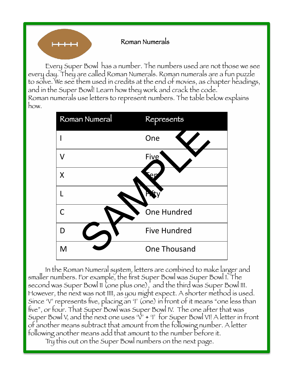### Roman Numerals

Every Super Bowl has a number. The numbers used are not those we see every day. They are called Roman Numerals. Roman numerals are a fun puzzle to solve. We see them used in credits at the end of movies, as chapter headings, and in the Super Bowl! Learn how they work and crack the code. Roman numerals use letters to represent numbers. The table below explains how.



In the Roman Numeral system, letters are combined to make larger and smaller numbers. For example, the first Super Bowl was Super Bowl I. The second was Super Bowl 11 (one plus one), and the third was Super Bowl III. However, the next was not IIII, as you might expect. A shorter method is used. Since 'V' represents five, placing an 'I' (one) in front of it means "one less than five", or four. That Super Bowl was Super Bowl IV. The one after that was Super Bowl V, and the next one uses  $\forall$ ' + 'I' for Super Bowl VI! A letter in front of another means subtract that amount from the following number. A letter following another means add that amount to the number before it.

Try this out on the Super Bowl numbers on the next page.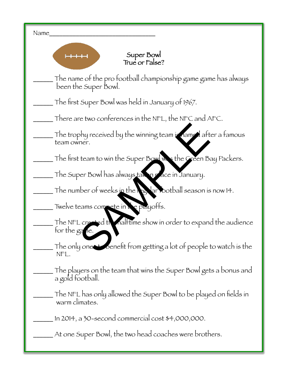| Name                                                                                   |
|----------------------------------------------------------------------------------------|
| Super Bowl<br>True or False?                                                           |
| The name of the pro football championship game game has always<br>been the Super Bowl. |
| The first Super Bowl was held in January of 1967.                                      |
| There are two conferences in the NFL, the NFC and AFC.                                 |
| The trophy received by the winning team is named after a famous<br>team owner.         |
| The first team to win the Super Bowl was the Green Bay Packers.                        |
| The Super Bowl has always taken reace in January.                                      |
| The number of weeks in the real arrothall season is now 14.                            |
| Twelve teams compete in a e playoffs.                                                  |
| The NFL created the nalftime show in order to expand the audience<br>for the game.     |
| The only one to benefit from getting a lot of people to watch is the<br>NFL.           |
| The players on the team that wins the Super Bowl gets a bonus and<br>a gold football.  |
| The NFL has only allowed the Super Bowl to be played on fields in<br>warm climates.    |
| In 2014, a $30$ -second commercial cost $$4,000,000$ .                                 |
| At one Super Bowl, the two head coaches were brothers.                                 |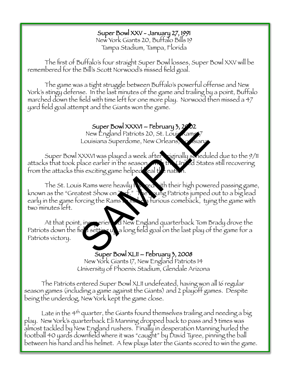#### Super Bowl XXV - January 27, 1991 New York Giants 20, Buffalo Bills 19

Tampa Stadium, Tampa, Florida

The first of Buffalo's four straight Super Bowl losses, Super Bowl XXV will be remembered for the Bill's Scott Norwood's missed field goal.

The game was a tight struggle between Buffalo's powerful offense and New York's stingy defense. In the last minutes of the game and trailing by a point, Buffalo marched down the field with time left for one more play. Norwood then missed a 47 yard field goal attempt and the Giants won the game.

# Super Bowl XXXVI – February 3, 2002

New England Patriots 20, St. Louis Kams Louisiana Superdome, New Orleans, louisiana

Super Bowl XXXVI was played a week after **Figinally scheduled due to the 9/11** attacks that took place earlier in the season. With United States still recovering from the attacks this exciting game helped real the nation.

The St. Louis Rams were heavily fail red with their high powered passing game, known as the "Greatest Show on Turt." The young Patriots jumped out to a big lead early in the game forcing the Rams to make a furious comeback, tying the game with two minutes left. Super Bowl XXXVI – February 3, 2022<br>
New England Patriots 20, St. Louis Xams 7<br>
Louisiana Superdome, New Orleans, Siana<br>
XXXVI was played a week after riginally sonedul<br>
blace earlier in the season<br>
is exciting game helped

At that point, inexperienced New England quarterback Tom Brady drove the Patriots down the field setting up a long field goal on the last play of the game for a Patriots victory.

# Super Bowl XLII – February 3, 2008

New York Giants 17, New England Patriots 14 University of Phoenix Stadium, Glendale Arizona

The Patriots entered Super Bowl XLII undefeated, having won all 16 regular season games (including a game against the Giants) and 2 playoff games. Despite being the underdog, New York kept the game close.

Late in the 4<sup>th</sup> quarter, the Giants found themselves trailing and needing a big play. New York's quarterback Eli Manning dropped back to pass and 3 times was almost tackled by New England rushers. Finally in desperation Manning hurled the football 40 yards downfield where it was "caught" by David Tyree, pinning the ball between his hand and his helmet. A few plays later the Giants scored to win the game.